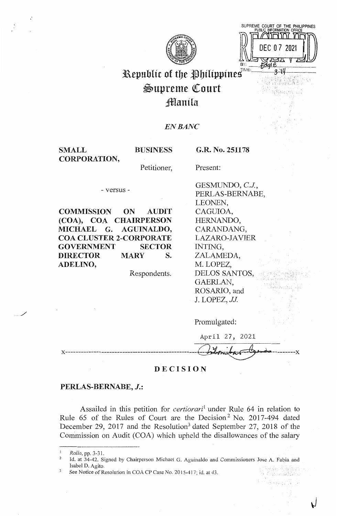

SUPREME COURT OF THE PHILIPPINES PUBLIC INFORMATION OFFICE הת החורהוו  $\begin{CD} 2 \times 1 & \text{DFT} \ \text{DEC 0} \ \text{DEC 1} \ \text{C} \ \text{DFC 1} \ \text{C} \ \text{C} \ \text{C} \ \text{C} \ \text{C} \ \text{C} \ \text{C} \ \text{C} \ \text{C} \ \text{C} \ \text{C} \ \text{C} \ \text{C} \ \text{C} \ \text{C} \ \text{C} \ \text{C} \ \text{C} \ \text{C} \ \text{C} \ \text{C} \ \text{C} \ \text{C} \ \text{C} \ \text{C} \ \text{C} \ \text{C} \ \text{C} \ \text$ 

 $\sqrt{ }$ 

h girin ada 축구로 가능 경

# Republic of the Philippines<sup>TME</sup>  $\mathfrak{S}$ upreme Court Jlf[anila

# *ENBANC*

SMALL CORPORATION,

**BUSINESS** 

**G.R. No. 251178** 

Present:

Petitioner,

- versus -

**COMMISSION ON AUDIT (COA), COA CHAIRPERSON MICHAEL G. AGUINALDO, COA CLUSTER 2-CORPORATE GOVERNMENT SECTOR DIRECTOR MARY S. ADELINO,** 

Respondents.

GESMUNDO, *C.J.,*  PERLAS-BERNABE, LEONEN, CAGUIOA, HERNANDO, CARANDANG, LAZARO-JAVIER INTING, ZALAMEDA, M. LOPEZ, DELOS SANTOS, GAERLAN, ROSARIO, and J. LOPEZ, *JJ.* 

Promulgated:

| April 27, 2021 |                 |  |
|----------------|-----------------|--|
|                | bitomitar teams |  |

# **DECISION**

# **PERLAS-BERNABE,** *J.:*

Assailed in this petition for *certiorari*<sup>1</sup>under Rule 64 in relation to Rule 65 of the Rules of Court are the Decision<sup>2</sup> No. 2017-494 dated December 29, 2017 and the Resolution<sup>3</sup> dated September 27, 2018 of the Commission on Audit (COA) which upheld the disallowances of the salary

/

<sup>1</sup>*Rollo,* pp. 3-31.

<sup>2</sup>Id. at 34-42. Signed by Chairperson Michael G. Aguinaldo and Commissioners Jose A. Fabia and Isabel D. Agito.

See Notice of Resolution in COA CP Case No. 2015-417; id. at 43.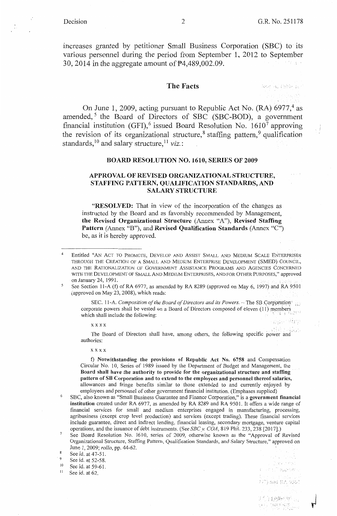kele al fubbo acc

v Wye

 $\left\{ \left\{ \mathbf{r}^{i},\mathbf{r}_{i}\right\} \right\}$ VV. การเกี*ยน*พระพ

) and  $\text{RA}$  9561

2019 经增长的 201 popises.

increases granted by petitioner Small Business Corporation (SBC) to its various personnel during the period from September 1, 2012 to September 30, 2014 in the aggregate amount of  $\overline{P}4,489,002.09$ .

### **The Facts**

On June 1, 2009, acting pursuant to Republic Act No. (RA)  $6977<sup>4</sup>$  as amended,<sup>5</sup> the Board of Directors of SBC (SBC-BOD), a government financial institution (GFI),<sup>6</sup> issued Board Resolution No.  $1610^7$  approving the revision of its organizational structure,<sup>8</sup> staffing pattern,<sup>9</sup> qualification standards, 10 and salary structure, 11 *viz.* :

### **BOARD RESOLUTION NO. 1610, SERIES OF 2009**

### **APPROVAL OF REVISED ORGANIZATIONAL STRUCTURE, STAFFING PATTERN, QUALIFICATION STANDARDS, AND SALARY STRUCTURE**

**"RESOLVED:** That in view of the incorporation of the changes as instructed by the Board and as favorably recommended by Management, **the Revised Organizational Structure** (Annex "A"), **Revised Staffing Pattern** (Annex "B"), and **Revised Qualification Standards** (Annex "C") be, as it is hereby approved.

SEC. 11-A. *Composition of the Board of Directors and its Powers.* - The SB Corporation<sup>1</sup> corporate powers shall be vested on a Board of Directors composed of eleven (11) members which shall include the following:

xxxx

The Board of Directors shall have, among others, the following specific power and'· authories:

### **xxxx**

f) Notwithstanding the provisions of Republic Act No. 6758 and Compensation Circular No. 10, Series of 1989 issued by the Department of Budget and Management, the **Board shall have the authority to provide for the organizational structure and staffing pattern of SB Corporation and to extend to the employees and personnel thereof salaries,**  allowances and fringe benefits similar to those extended to and currently enjoyed by

- employees and personnel of other government financial institution. (Emphases supplied) <sup>6</sup>SBC, also known as "Small Business Guarantee and Finance Corporation," is a **government financial institution** created under RA 6977, as amended by RA 8289 and RA 9501. It offers a wide range of financial services for small and medium enterprises engaged in manufacturing, processing, agribusiness (except crop level production) and services (except trading). These financial services include guarantee, direct and indirect lending, financial leasing, secondary mortgage, venture capital operations, and the issuance of debt instruments. (See *SBC\_v. COA,* 819 Phil. 233,238 [2017].)
- <sup>7</sup> See Board Resolution No. 1610, series of 2009, otherwise known as the "Approval of Revised Organizational Structure, Staffing Pattern, Qualification Standards, and Salary Structure," approved on June 1, 2009; *rollo,* pp. 44-62.

 $8^8$  See id. at 47-51.

 $9$  See id. at 52-58.

<sup>10</sup> See id. at 59-61.

 $11$  See id. at 62.

Decision 2 G.R. No. 251178

<sup>4</sup> Entitled "AN ACT TO PROMOTE, DEVELOP AND ASSIST SMALL AND MEDIUM SCALE ENTERPRISES THROUGH THE CREATION OF A SMALL AND MEDIUM ENTERPRISE DEVELOPMENT (SMED) COUNCIL, AND THE RATIONALIZATION OF GOVERNMENT ASSISTANCE PROGRAMS AND AGENCIES CONCERNED WITH THE DEVELOPMENT OF SMALL AND MEDIUM ENTERPRISES, AND FOR OTHER PURPOSES," approved on January 24, 1991.

See Section 11-A (f) of RA 6977, as amended by RA 8289 (approved on May 6, 1997) and RA 9501 (approved on May 23, 2008), which reads: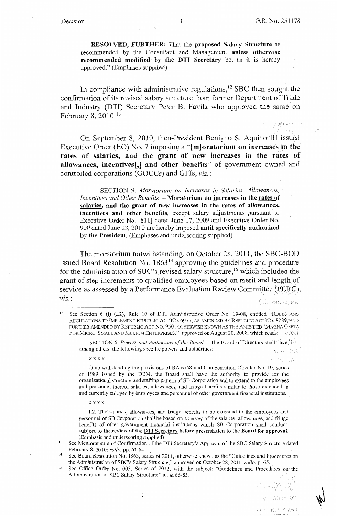**Contract State Holder**  $Y \geq Y$  .

Naturies Stat

FO "RULLE AND

**RESOLVED, FURTHER:** That the **proposed Salary Structure** as recommended by the Consultant and Management **unless otherwise recommended modified by the DTI Secretary** be, as it is hereby approved." (Emphases supplied)

In compliance with administrative regulations,<sup>12</sup> SBC then sought the confirmation of its revised salary structure from former Department of Trade and Industry (DTI) Secretary Peter B. Favila who approved the same on February 8, 2010.<sup>13</sup>

On September 8, 2010, then-President Benigno S. Aquino III issued Executive Order (EO) No. 7 imposing a **"f m]oratorium on increases in the**  rates of salaries, and the grant of new increases in the rates of **allowances, incentives[,] and other benefits"** of government owned and controlled corporations (GOCCs) and GFis, *viz.:* 

SECTION 9. *Moratorium on Increases in Salaries, Allowances, Incentives and Other Benefits.* - **Moratorium on increases in the rates of salaries, and the grant of new increases in the rates of allowances, incentives and other benefits,** except salary adjustments pursuant to Executive Order No. [811] dated June 17, 2009 and Executive Order No. 900 dated June 23, 2010 are hereby imposed **until specifically authorized by the President.** (Emphases and underscoring supplied)

The moratorium notwithstanding, on October 28, 2011, the SBC-BOD issued Board Resolution No.  $1863<sup>14</sup>$  approving the guidelines and procedure for the administration of SBC's revised salary structure, 15 which included the grant of step increments to qualified employees based on merit and length of service as assessed by a Performance Evaluation Review Committee (PERC), *VlZ.:* AC SANDA ON

SECTION 6. Powers and Authorities of the Board. - The Board of Directors shall have, At among others, the following specific powers and authorities: ngan wéndi (20)

xxxx

f) notwithstanding the provisions of RA 6758 and Compensation Circular No. 10, series of 1989 issued by the DBM, the Board shall have the authority to provide for the organizational structure and staffing pattern of SB Corporation and to extend to the employees and personnel thereof salaries, allowances, and fringe benefits similar to those extended to and currently enjoyed by employees and personnel of other government financial institutions.

xxxx

f.2. The salaries, allowances, and fringe benefits to be extended to the employees and personnel of SB Corporation shall be based on a survey of the salaries, allowances, and fringe benefits of other government financial institutions which SB Corporation shall conduct, subject to the review of the **DTI Secretary** before presentation to the Board for approval. (Emphasis and underscoring supplied)

<sup>15</sup> See Office Order No. 003, Series of 2012, with the subject: "Guidelines and Procedures on the Administration of SBC Salary Structure;" id. at 66-85.  $\int_{\tau}^{\tau} f(t)$ 

<sup>&</sup>lt;sup>12</sup> See Section 6 (f) (f.2), Rule 10 of DTI Administrative Order No. 09-08, entitled "RULES AND REGULATIONS TO IMPLEMENT REPUBLIC ACT No. 6977, AS AMENDED BY REPUBLIC ACT No. 8289, AND FURTHER AMENDED BY REPUBLIC ACT NO. 9501 OTHERWISE KNOWN AS THE AMENDED 'MAGNA CARTA FOR MICRO, SMALL AND MEDIUM ENTERPRISES," approved on August 20, 2008, which reads: ;  $\sim$  :  $\epsilon$ 

<sup>&</sup>lt;sup>13</sup> See Memorandum of Confirmation of the DTI Secretary's Approval of the SBC Salary Structure dated February 8, 2010; *rollo*, pp. 63-64.

<sup>&</sup>lt;sup>14</sup> See Board Resolution No. 1863, series of 2011, otherwise known as the "Guidelines and Procedures on the Administration of SBC's Salary Structure," approved on October 28, 2011; *rollo*, p. 65.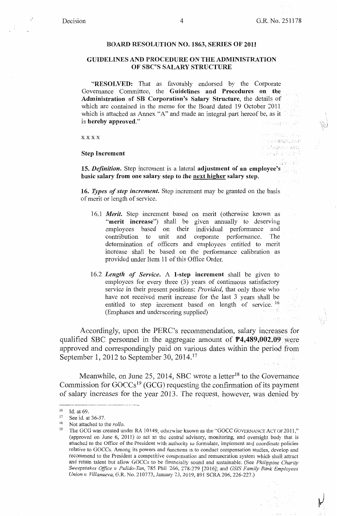thin an VAN MARKET AND TAGEA & ARG. gangik i sanyet

### **BOARD RESOLUTION NO. 1863, SERIES OF 2011**

### **GUIDELINES AND PROCEDURE ON THE ADMINISTRATION OF SBC'S SALARY STRUCTURE**

**"RESOLVED:** That as favorably endorsed by the Corporate Governance Committee, the **Guidelines and Procedures on the Administration of SB Corporation's Salary Structure,** the details of which are contained in the memo for the Board dated 19 October 2011 which is attached as Annex "A" and made an integral part hereof be, as it is **hereby approved."** 

**xxxx** 

### **Step Increment**

**15.** *Definition.* Step increment is a lateral **adjustment of an employee's basic salary from one salary step to the next higher salary step.** 

**16.** *Types of step increment.* Step increment may be granted on the basis of merit or length of service.

- 16.1 *Merit*. Step increment based on merit (otherwise known as **"merit increase")** shall be given annually to deserving employees based on their individual performance and contribution to unit and corporate performance. The determination of officers and employees entitled to merit increase shall be based on the performance calibration as provided under Item 11 of this Office Order.
- 16.2 *Length of Service.* A 1-step increment shall be given to employees for every three  $(3)$  years of continuous satisfactory service in their present positions: *Provided,* that only those who have not received merit increase for the last 3 years shall be entitled to step increment based on length of service.  $^{16}$ (Emphases and underscoring supplied)

Accordingly, upon the PERC's recommendation, salary increases for qualified SBC personnel in the aggregate amount of **P4,489,002.09;** were approved and correspondingly paid on various dates within the period from September 1, 2012 to September 30, 2014.<sup>17</sup>

Meanwhile, on June 25, 2014, SBC wrote a letter<sup>18</sup> to the Governance Commission for  $\text{GOCCs}^{19}$  (GCG) requesting the confirmation of its payment of salary increases for the year 2013. The request, however, was denied by

<sup>16</sup> Id. at 69.

 $17$  See id. at 36-37.

<sup>&</sup>lt;sup>18</sup> Not attached to the *rollo*.

<sup>&</sup>lt;sup>19</sup> The GCG was created under RA 10149, otherwise known as the "GOCC GOVERNANCE ACT OF 2011," (approved on June  $6$ , 2011) to act as the central advisory, monitoring, and oversight body that is attached to the Office of the President with authority to formulate, implement and coordinate policies relative to GOCCs. Among its powers and functions is to conduct compensation studies, develop and recommend to the President a competitive compensation and remuneration system which shall attract and retain talent but allow GOCCs to be financially sound and sustainable. (See *Philippine Charity Sweepstakes Office v Pulido-Tan,* 785 Phil. 266, '278-279 [2016]; and *GS!S Family Bank Employees Union v. Villanueva,* G.R. No. 210773, January 23, 2019, 891 SCRA 206, 226-227.)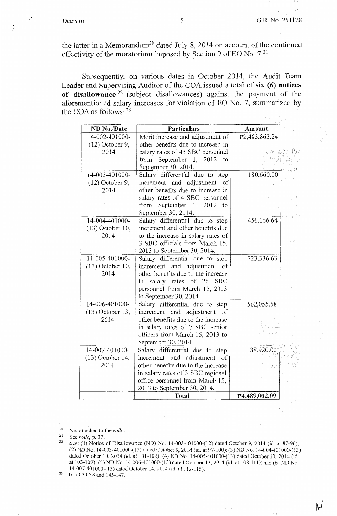1 ( L

the latter in a Memorandum<sup>20</sup> dated July 8, 2014 on account of the continued effectivity of the moratorium imposed by Section 9 of EO No.  $7.^{21}$ 

Subsequently, on various dates in October 2014, the Audit Team Leader and Supervising Auditor of the COA issued a total of **six** ( **6) notices of disallowance** 22 (subject disallowances) against the payment of the aforementioned salary increases for violation of EO No. 7, summarized by the COA as follows:  $2^3$ 

| ND No./Date                | Particulars                                                           | Amount          |      |
|----------------------------|-----------------------------------------------------------------------|-----------------|------|
| 14-002-401000-             | Merit increase and adjustment of                                      | P2,483,863.24   |      |
| $(12)$ October 9,          | other benefits due to increase in                                     |                 |      |
| 2014                       | salary rates of 43 SBC personnel                                      | .a. retules for |      |
|                            | September 1, 2012 to<br>from                                          | 5.000           |      |
|                            | September 30, 2014.                                                   |                 |      |
| 14-003-401000-             | Salary differential due to step                                       | 180,660.00      |      |
| $(12)$ October 9,          | increment and adjustment of                                           |                 |      |
| 2014                       | other benefits due to increase in                                     |                 |      |
|                            | salary rates of 4 SBC personnel                                       |                 | 79 B |
|                            | September 1, 2012 to<br>from                                          |                 |      |
|                            | September 30, 2014.                                                   |                 |      |
| 14-004-401000-             | Salary differential due to step                                       | 450,166.64      |      |
| $(13)$ October 10,         | increment and other benefits due                                      |                 |      |
| 2014                       | to the increase in salary rates of                                    |                 |      |
|                            | 3 SBC officials from March 15,                                        |                 |      |
|                            | 2013 to September 30, 2014.                                           |                 |      |
| 14-005-401000-             | Salary differential due to step                                       | 723,336.63      |      |
| $(13)$ October 10,         | increment and adjustment of                                           |                 |      |
| 2014                       | other benefits due to the increase                                    |                 |      |
|                            | salary rates of 26<br>in<br><b>SBC</b>                                |                 |      |
|                            | personnel from March 15, 2013                                         |                 |      |
|                            | to September 30, 2014.                                                |                 |      |
| 14-006-401000-             | Salary differential due to step                                       | 562,055.58      |      |
| $(13)$ October 13,<br>2014 | increment and adjustment of                                           |                 |      |
|                            | other benefits due to the increase<br>in salary rates of 7 SBC senior |                 |      |
|                            | officers from March 15, 2013 to                                       |                 |      |
|                            | September 30, 2014.                                                   |                 |      |
| 14-007-401000-             | Salary differential due to step                                       | 88,920.00       |      |
| $(13)$ October 14,         | increment and adjustment of                                           |                 |      |
| 2014                       | other benefits due to the increase                                    |                 |      |
|                            | in salary rates of 3 SBC regional                                     |                 |      |
|                            | office personnel from March 15,                                       |                 |      |
|                            | 2013 to September 30, 2014.                                           |                 |      |
|                            | Total                                                                 | P4,489,002.09   |      |
|                            |                                                                       |                 |      |

<sup>&</sup>lt;sup>20</sup> Not attached to the *rollo*.<br><sup>21</sup> See *rollo* **p**  $.37$ 

23 Id. at 34-38 and 145-147.

<sup>21</sup> See *rollo,* p. 37.

See: (1) Notice of Disallowance (ND) No. 14-002-401000-(12) dated October 9, 2014 (id. at 87-96); (2) ND No. 14-003-401000-(12) dated October 9, 2014 (id. at 97-100); (3) ND No. 14-004-401000-(13) dated October 10, 2014 (id. at 101-102); (4) ND No. 14-005-401000-(13) dated October 10, 2014 (id. at 103-107); (5) ND No. 14-006-401000-(13) dated October 13, 2014 (id. at 108-111); and (6) ND No. 14-007-401000-(13) dated October 14, 2014 (id. at 112-115).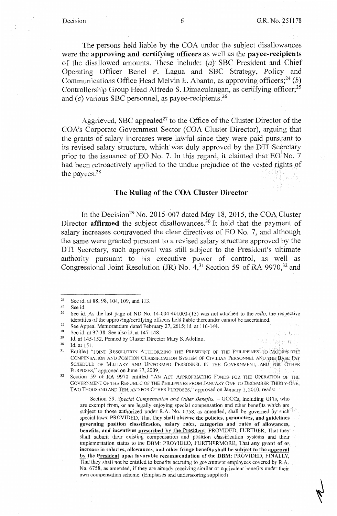al mius

The persons held liable by the C0A under the subject disallowances were the **approving and certifying officers** as well as the **payee-recipients**  of the disallowed amounts. These include: *(a)* SBC President and Chief Operating Officer Benel P. Lagua and SBC Strategy, Policy and Communications Office Head Melvin E. Abanto, as approving officers;<sup>24</sup> (b) Controllership Group Head Alfredo S. Dimaculangan, as certifying officer;<sup>25</sup> and  $(c)$  various SBC personnel, as payee-recipients.<sup>26</sup>

Aggrieved, SBC appealed<sup>27</sup> to the Office of the Cluster Director of the COA's Corporate Government Sector (COA Cluster Director), arguing that the grants of salary increases were lawful since they were paid pursuant to its revised salary structure, which was duly approved by the DTI Secretary prior to the issuance of EO No. 7. In this regard, it claimed that EO No. 7 had been retroactively applied to the undue prejudice of the vested rights of the payees. $28$ 

## **The Ruling of the COA Cluster Director**

In the Decision<sup>29</sup> No. 2015-007 dated May 18, 2015, the COA Cluster Director **affirmed** the subject disallowances.<sup>30</sup> It held that the payment of salary increases contravened the clear directives of E0 No. 7, and although the same were granted pursuant to a revised salary structure approved by the DTI Secretary, such approval was still subject to the President's ultimate authority pursuant to his executive power of control, as well as Congressional Joint Resolution (JR) No.  $4<sup>31</sup>$  Section 59 of RA 9970,<sup>32</sup> and

<sup>27</sup> See Appeal Memorandum dated February 27, 2015; id. at 116-144.<br><sup>28</sup> See id. at 27.28. See also id. at  $147,148$ 

Section 59. *Special Compensation and Other Benefits.* - GOCCs, including GFIs, who are exempt from, or are legally enjoying special compensation and other benefits which are subject to those authorized under R.A. No. 6758, as amended, shall be governed by such special laws: PROVIDED, That they shall observe the policies, parameters, and guidelines governing position classification, salary rates, categories and rates of allowances, benefits, and incentives prescribed by the President: PROVIDED, FURTHER, That they shall submit their existing compensation and position classification systems and their implementation status to the DBM: PROVIDED, FURTHERMORE, That any grant of or. increase **in** salaries, allowances, and other fringe benefits shall be subject to the approval by the President upon favorable recommendation of the **DBM:** PROVIDED, FINALLY, That they shall not be entitled to benefits accruing to government employees covered by R.A. No. 6758, as amended, if they are already receiving similar or equivalent benefits under their own compensation scheme. (Emphases and underscoring supplied)

<sup>&</sup>lt;sup>24</sup> See id. at 88, 98, 104, 109, and 113.<br><sup>25</sup> Sep<sub>1d</sub>

 $25$  See id.

<sup>26</sup> See id. As the last page of ND No. 14-004-401000-(13) was not attached to the *rollo,* the respective identities of the approving/certifying officers held liable thereunder cannot be ascertained.

<sup>28</sup> See id. at 37-38. See also id. at 147-148.

<sup>&</sup>lt;sup>29</sup> Id. at 145-152. Penned by Cluster Director Mary S. Adelino.<br><sup>30</sup> Id. at 151

Id. at 151.

<sup>&</sup>lt;sup>31</sup> Entitled "JOINT RESOLUTION AUTHORIZING THE PRESIDENT OF THE PHILIPPINES TO MODIFY THE COMPENSATION AND POSITION CLASSIFICATION SYSTEM OF CIVILIAN PERSONNEL AND THE BASE PAY SCHEDULE OF MILITARY AND UNIFORMED PERSONNEL IN THE GOVERNMENT, AND FOR OTHER PURPOSES," approved on June 17, 2009.

<sup>&</sup>lt;sup>32</sup> Section 59 of RA 9970 entitled "AN ACT APPROPRIATING FUNDS FOR THE OPERATION OF THE GOVERNMENT OF THE REPUBLIC OF THE PHILIPPINES FROM JANUARY ONE TO DECEMBER THIRTY-ONE, Two THOUSAND AND TEN, AND FOR OTHER PURPOSES," approved on January l, 2010, reads: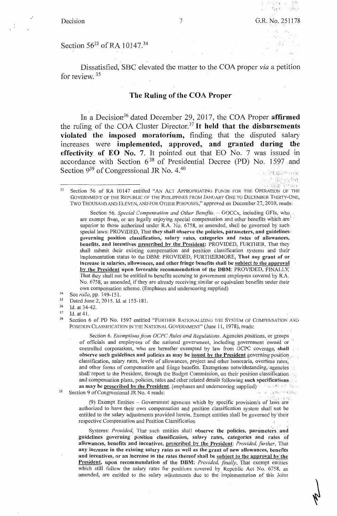- 학교 - 스킬로

101 最大的复数 250 - 350<br>วันที่ 1439 -

Section 56<sup>33</sup> of RA 10147.<sup>34</sup>

Dissatisfied, SBC elevated the matter to the COA proper *via* a petition for review.  $35$ 

# **The Ruling of the COA Proper**

In a Decision<sup>36</sup> dated December 29, 2017, the COA Proper **affirmed** the ruling of the C\_OA Cluster Director.37 It **held that the disbursements violated the imposed moratorium,** finding that the disputed salary increases were **implemented, approved, and granted during the effectivity of EO No. 7.** It pointed out that EO No. 7 was issued in accordance with Section  $6^{38}$  of Presidential Decree (PD) No. 1597 and Section 9<sup>39</sup> of Congressional JR No. 4.<sup>40</sup> 1 **the Congressional Section 1 and 2** the Congression

Section 56. *Special Compensation and Other Benefits.* - GOCCs, including GFIs, who are exempt from, or are legally enjoying special compensation and other benefits which are superior to those authorized under R.A. No. 6758, as amended, shall be governed by such special laws: PROVIDED, That they shall observe the policies, parameters, and guidelines **governing position classification, salary rates, categories and rates of allowances, benefits, and incentives prescribed by the President:** PROVIDED, FURTHER, That they shall submit their existing compensation and position classification systems and their implementation status to the DBM: PROVIDED, FURTHERMORE, **That any grant of or increase in salaries, allowances, and other fringe benefits shall be subject to the approval**  by the President upon favorable recommendation of the **DBM:** PROVIDED, FINALLY, That they shall not be entitled to benefits accruing to government employees covered by R.A. No. 6758, as amended, if they are already receiving similar or equivalent benefits under their own compensation scheme. (Emphases and underscoring supplied)

- 34 See *rollo,* pp. 149-151.
- 35 Dated June 2, 2015. Id. at 153-181.
- 36 Id. at 34-42.
- 37 Id. at 41.

38

Section 6 of PD No. 1597 entitled "FURTHER RATIONALIZING THE SYSTEM OF COMPENSATION AND POSITION CLASSIFICATION IN THE NATIONAL GOVERNMENT" (June 11, 1978), reads:

Section 6. *Exemptions from OCPC Rules and Regulations.* Agencies positions, or groups of officials and employees of the national government, including government owned or controlled corporations, who are hereafter exempted by law from OCPC coverage, **shall observe such guidelines and policies as may be issued by the President** governing position. classification, salary rates, levels of allowances, project and other honoraria, overtime rates, and other forms of compensation and fringe benefits. Exemptions notwithstanding, agencies shall report to the President, through the Budget Commission, on their position classification and compensation plans, policies, rates and other related details following **such specifications**  as may be prescribed by the President. (emphases and underscoring supplied) **and where the report** u - a Kigar BMGByo

39 Section 9 of Congressional JR No. 4 reads:

> (9) Exempt Entities  $-$  Government agencies which by specific provision/s of laws are authorized to have their own compensation and position classification system shall' not. be entitled to the salary adjustments provided herein. Exempt entities shall be governed by'their respective Compensation and Position Classification·

> Systems: Provided, That such entities shall observe the policies, parameters and guidelines governing position classification, salary rates, categories and rates of allowances, benefits and incentives, prescribed by the President: Provided, further, That **any increase in the existing salary rates as well as the grant of new allowances, benefits and incentives, or an increase in the rates thereof shall be subject to the approval by the President, upon recommendation of the DBM:** *Provided, finally,* That exempt entities which still follow the salary rates for positions covered by Republic Act No. 6758, as amended, are entitled to the salary adjustments due to the implementation of this Joint

<sup>33</sup> Section 56 of RA 10147 entitled "AN ACT APPROPRIATING FUNDS FOR THE OPERATION OF THE GOVERNMENT OF THE REPUBLIC OF THE PHILIPPINES FROM JANUARY ONE TO DECEMBER THIRTY-ONE, TWO THOUSAND AND ELEVEN, AND FOR OTHER PURPOSES," approved on December 27, 2010, reads: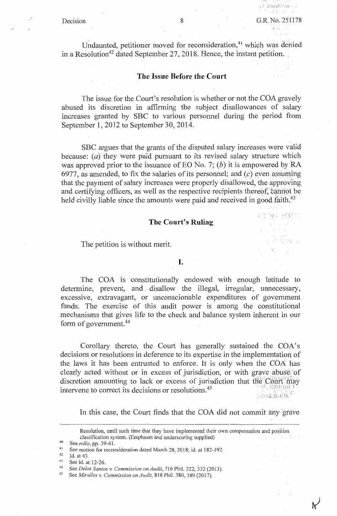Decision 8 G.R. No. 251178 돌로 등학  $(3 - 14 - 1)$ 

E NAME AND THE

្រុម រៀវិន្ទុ រ

 $\sim$ 

たんに発売し

Undaunted, petitioner moved for reconsideration,<sup>41</sup> which was denied in a Resolution<sup>42</sup> dated September 27, 2018. Hence, the instant petition.

### **The Issue Before the Court**

The issue for the Court's resolution is whether or not the COA gravely abused its discretion in affirming the . subject disallowances of salary increases granted by SBC to various personnel during the period from September 1, 2012 to September 30, 2014.

SBC argues that the grants of the disputed salary increases were valid because:  $(a)$  they were paid pursuant to its revised salary structure which was approved prior to the issuance of EO No. 7; (b) it is empowered by RA 6977, as amended, to fix the salaries of its personnel; and  $(c)$  even assuming that the payment of salary increases were properly disallowed, the approving and certifying officers, as well as the respective recipients thereof, cannot be held civilly liable since the amounts were paid and received in good faith.<sup>43</sup>

### **The Court's Ruling**

The petition is without merit

### I.

The COA is constitutionally endowed with enough latitude to determine, prevent, and disallow the illegal, irregular, unnecessary, excessive, extravagant, or unconscionable expenditures of government funds. The exercise of this audit power is among the constitutional mechanisms that gives life to the check and balance system inherent in our form of government.<sup>44</sup>

Corollary thereto, the Court has generally sustained the COA's decisions or resolutions in deference to its expertise in the implementation of the laws it has been entrusted to enforce. It is only when the COA has clearly acted without or in excess of jurisdiction, or with grave abuse of discretion amounting to lack or excess of jurisdiction that the  $\text{Count}$  may intervene to correct its decisions or resolutions. $45$  $f$  ,  $\phi$  od  $\alpha$  ,  $\alpha$  ,  $\alpha$ 

In this case, the Court finds that the COA did not commit any grave

Resolution, until such time that they have implemented their own compensation and position classification system. (Emphases and underscoring supplied) A.

<sup>40</sup> See *rollo,* pp. 39-41.

<sup>&</sup>lt;sup>41</sup> See motion for reconsideration dated March 28, 2018; id. at 182-192.

Id. at 43.

<sup>43</sup> See id. at 12-26.

<sup>44</sup> See *Delos Santos v. Commission on Audit,* 716 Phil. 322,332 (2013).

<sup>45</sup> See *Miralles v. Commission on Audit,* 818 Phil. 380, 389 (2017).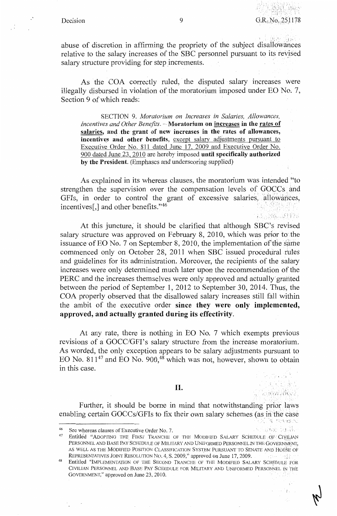無料 自言し

... is research ??

bing to the

 $f$ , ,

ง<br>เหตุการณ์ (風気に赤く)

abuse of discretion in affirming the propriety of the subject disallowances relative to the salary increases of the SBC personnel pursuant to its revised salary structure providing for step increments.

As the COA correctly ruled, the disputed salary increases were illegally disbursed in violation of the moratorium imposed under EO No. 7, Section 9 of which reads:

SECTION 9. *Moratorium on Increases in Salaries, Allowances, Incentives and Other Benefits.* **-Moratorium on increases in the rates of salaries, and** . **the grant of new increases in the rates of allowances, incentives and other benefits,** except salary adjustments pursuant to Executive Order No. 811 dated June 17, 2009 and Executive Order No. 900 dated June 23, 2010 are hereby imposed **until specifically authorized by the President.** (Emphases and underscoring supplied)

As explained in its whereas clauses, the moratorium was intended "to strengthen the supervision over the compensation levels of GOCCs and GFIs, in order to control the grant of excessive salaries, allowances, incentives[,] and other benefits."<sup>46</sup>

At this juncture, it should be clarified that although SBC 's revised salary structure was approved on February 8, 2010, which was prior to the issuance of EO No. 7 on September 8, 2010, the implementation of the same commenced only on October 28, 2011 when SBC issued procedural rules and guidelines for its administration. Moreover, the recipients of the salary increases were only determined much later upon the recommendation of the PERC and the increases themselves were only approved and actually granted between the period of September 1, 2012 to September 30, 2014. Thus, the COA properly observed that the disallowed salary increases still fall within the ambit of the executive order **since they were only implemented, approved, and actually granted during its effectivity.** 

At any rate, there is nothing in EO No. 7 which exempts previous revisions of a GOCC/GFI's salary structure from the increase moratorium. As worded, the only exception appears to be salary adjustments pursuant to EO No.  $811^{47}$  and EO No.  $900,$ <sup>48</sup> which was not, however, shown to obtain in this case.

II.

Further, it should be borne in mind that notwithstanding prior laws enabling certain GOCCs/GFIs to fix their own salary schemes (as in the case  $\beta$ , 13 revised

<sup>46</sup> See whereas clauses of Executive Order No. 7.

Entitled "ADOPTING THE FIRST TRANCHE OF THE MODIFIED SALARY SCHEDULE OF CIVILIAN PERSONNEL AND BASE PAY SCHEDULE OF MILITARY AND UNIFORMED PERSONNEL IN THE GOVERNMENT, AS WELL AS THE MODIFIED POSITION CLASSIFICATION SYSTEM PURSUANT TO SENATE AND HOUSE OF REPRESENTATIVES JOINT RESOLUTION No. 4, S. 2009," approved on June 17, 2009. D≄≸ih

<sup>48</sup> Entitled "IMPLEMENTATION OF THE SECOND TRANCHE OF THE MODIFIED SALARY SCHpDULE FOR CIVILIAN PERSONNEL AND BASE PAY SCHEDULE FOR MILITARY AND UNIFORMED PERSONNEL IN THE GOVERNMENT," approved on June 23, 2010.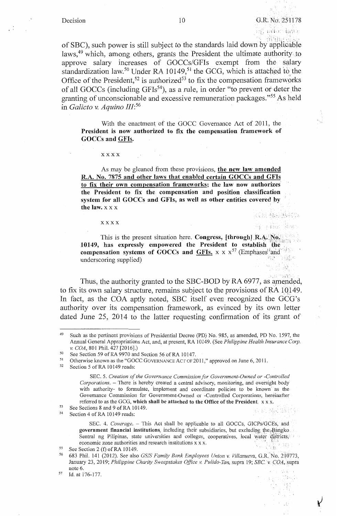KAL SELSKO ing a file of hwo.

NG 1831 19

of SBC), such power is still subject to the standards laid down by applicable laws,<sup>49</sup> which, among others, grants the President the ultimate authority to approve salary increases of GOCCs/GFIs exempt from the salary standardization law.<sup>50</sup> Under RA 10149,<sup>51</sup> the GCG, which is attached to the Office of the President,  $52$  is authorized<sup>53</sup> to fix the compensation frameworks of all GOCCs (including GFIs<sup>54</sup>), as a rule, in order "to prevent or deter the granting of unconscionable and excessive remuneration packages."55 As held in *Galicto v. Aquino 111:*<sup>56</sup>

With the enactment of the GOCC Governance Act of 2011, the **President is now authorized to fix the compensation framework of GOCCs and GFis.** 

xxxx

As may be gleaned from these provisions, the new law amended R.A. No. 7875 and other laws that enabled certain GOCCs and GFis to fix their own compensation frameworks; the law now authorizes the President to fix the compensation and position classification system for all GOCCs and GFis, as well as other entities covered by the law.  $X$   $X$   $X$ 

xxxx

This is the present situation here. **Congress, [through] R.A.**; No. 163 10149, has expressly empowered the President to establish the **compensation systems of GOCCs and**  $\frac{GFIs.}{F}$  **x x x<sup>57</sup> (Emphases<sup>1</sup>and 14:55)** underscoring supplied) ! ⊗l

Thus, the authority granted to the SBC-BOD by RA 6977, as amended, to fix its own salary structure, remains subject to the provisions of RA 10149. In fact, as the COA aptly noted, SBC itself even recognized the GCG 's authority over its compensation framework, as evinced by its own letter dated June 25, 2014 to the latter requesting confirmation of its grant of

<sup>54</sup> Section 4 of RA 10149 reads:

SEC. 4. *Coverage*. - This Act shall be applicable to all GOCCs, GICPs/GCEs, and **government financial institutions,** including their subsidiaries, but excluding the Bangko. Sentral ng Pilipinas, state universities and colleges, cooperatives, local water districts, economic zone authorities and research institutions x x x.

<sup>49</sup> Such as the pertinent provisions of Presidential Decree (PD) No. 985, as amended, PD No. 1597, the Annual General Appropriations Act, and, at present, RA 10149. (See *Philippine Health Insurance Corp. v. COA,* 801 Phil. 427 [2016].)

<sup>50</sup> See Section 59 of RA 9970 and Section 56 of RA 10147.

<sup>&</sup>lt;sup>51</sup> Otherwise known as the "GOCC GOVERNANCE ACT OF 2011," approved on June 6, 2011.

Section 5 of RA 10149 reads:

SEC. 5. *Creation of the Governance Commission for Government-Owned or -Controlled Corporations.* - There is hereby created a central advisory, monitoring, and oversight body with authority- to formulate, implement and coordinate policies to be known as the Governance Commission for Government-Owned or -Controlled Corporations; hereinafter referred to as the GCG, **which shall be attached to the Office of the President.** xx x.

<sup>53</sup> See Sections 8 and 9 of RA 10149.

<sup>55 .</sup>See Section 2 (f) of RA 10149.

<sup>56 683</sup> Phil. 141 (2012). See also *G'SJS Family Bnnk Employees Union* v. *Villanueva,* G.R. No. 210773, January 23, 2019; *Philippine Charity Sweepstakes Office v. Pulido-Tan*, supra 19; *SBC. v. COA*, supra note 6. 

<sup>57</sup> Id. at 176-177.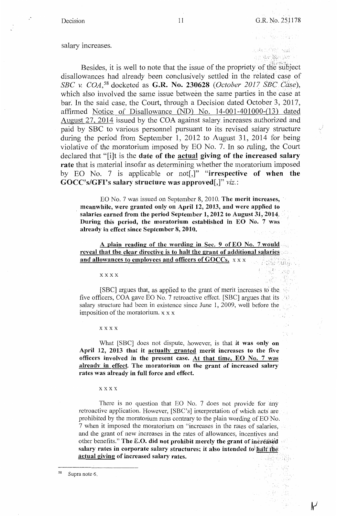A : 사고 중심이다

toku ndësh saa<sup>n</sup> n a she Minaka N

(1938) - Quebect

26. V

<sup>한</sup> 기류 - 391 ووزماء

小胆。

Besides, it is well to note that the issue of the propriety of the subject disallowances had already been conclusively settled in the related case of *SBC v. COA*,<sup>58</sup> docketed as **G.R. No. 230628** *(October 2017 SBC Case)*, which also involved the same issue between the same parties in the case at bar. In the said case, the Court, through a Decision dated October 3, 2017, affirmed Notice of Disallowance (ND) No. 14-001-401000-(13) dated August 27, 2014 issued by the COA against salary increases authorized and paid by SBC to various personnel pursuant to its revised salary structure during the period from September 1, 2012 to August 31, 2014 for being violative of the moratorium imposed by EO No. 7. In so ruling, the Court declared that "[i]t is the **date of the actual giving of the increased salary rate** that is material insofar as determining whether the moratorium imposed by EO No. 7 is applicable or not[,]" **"irrespective of when the GOCC's/GFl's salary structure was approved[,]"** *viz.:* 

EO No. 7 was issued on September 8, 2010. **The merit increases, meanwhile, were granted only on April 12, 2013, and were applied to salaries earned from the period September 1, 2012 to August 31,2014. During this period, the moratorium established in EO No. 7 was already in effect since September 8, 2010.** 

**A plain reading of the wording in Sec. 9 of EO No. 7would reveal that the clear directive is to halt the grant of additional salaries** .· **and allowances to employees and officers of GOCCs.** xx **x** ; , Sa ', ,. ~.,,

### **xxxx**

[SBC] argues that, as applied to the grant of merit increases to the five officers, COA gave EO No. 7 retroactive effect. [SBC] argues that its  $\langle \rangle$ salary structure had been in existence since June 1, 2009, well before the imposition of the moratorium. x x x 93 - V

**xxxx** 

What [SBC] does not dispute, however, is that **it was only on April 12, 2013 that it actually granted merit increases to the five officers involved in the present case. At that time, EO** No. 7 **was already in effect. The moratorium on the grant of increased salary rates was already in full force and effect.** 

### **xxxx**

There is no question that EO No. 7 does not provide for any retroactive application. However, [SBC's] interpretation of which acts are prohibited by the moratorium runs contrary to the plain wording of  $EO^{\dagger}$  No. 7 when it imposed the moratorium on "increases in the rates of salaries, and the grant of new increases in the rates of allowances, incentives and other benefits." The E.O. did not prohibit merely the grant of increased tja. salary rates in corporate salary structures; it also intended to half the **actual giving of increased salary rates.**  보일 때부터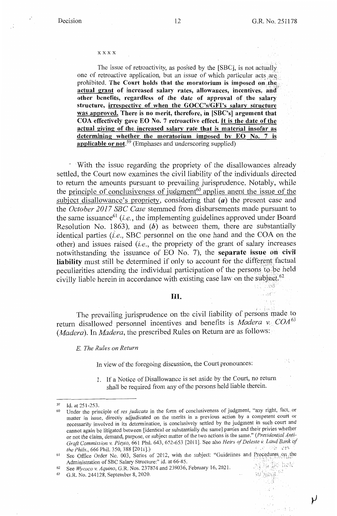وري.<br>الربية ال

D.

### xxxx

The issue of retroactivity, as posited by the [SBC], is not actually one of retroactive application, but an issue of which particular acts are, prohibited. The Court holds that the moratorium is imposed on the actual grant of increased salary rates, allowances, incentives, and other benefits, regardless of the date of approval of the salary **structure, irrespective of when the GOCC's/GFl's salary structure was approved. There is no merit, therefore, in [SBC's] argument that COA effectively gave EO No.** 7 **retroactive effect.** It is **the date of the actual giving of the increased salary rate that is material insofar as determining whether the moratorium imposed by EO No. 7 is applicable or not. <sup>59</sup>**(Emphases and underscoring supplied)

- · With the issue regarding the propriety of the disallowances already settled, the Court now examines the civil liability of the individuals directed to return the amounts pursuant to prevailing jurisprudence. Notably, while the principle of conclusiveness of judgment<sup>60</sup> applies anent the issue of the subject disallowance's propriety, considering that (a) the present case and the *October 2017 SBC Case* stemmed from disbursements made pursuant to the same issuance<sup>61</sup>*(i.e.,* the implementing guidelines approved under Board Resolution No. 1863), and **(h)** as between them, there are substantially identical parties  $(i.e.,$  SBC personnel on the one hand and the COA on the other) and issues raised *(i.e.,* the propriety of the grant of salary increases notwithstanding the issuance of EO No. 7), the **separate issue on civil** liability must still be determined if only to account for the different factual peculiarities attending the individual participation of the persons to be held civilly liable herein in accordance with existing case law on the subject. $^{62}$ 

### **Ill.**

The prevailing jurisprudence on the civil liability of persons made to return disallowed personnel incentives and benefits is *Madera* v.: *COA* <sup>63</sup> *(Madera).* In *Madera,* the prescribed Rules on Return are as follows:

E. *The Rules on Return* 

In view of the foregoing discussion, the Court pronounces:

1. If a Notice of Disallowance is set aside by the Court, no return shall be required from any of the persons held liable therein.

<sup>59</sup> Id. at 251-253.

<sup>60</sup> Under the principle of *res judicata* in the form of conclusiveness of judgment, "any right, fact, or matter in issue, directly adjudicated on the merits in a previous action by a competent court or necessarily involved in its detennination, is conclusively settled by the judgment in such court and cannot again be litigated between [identical or substantially the same] parties and their privies whether or not the claim, demand, purpose, or subject matter of the two actions is the same." *(Presidential A,nti-Graft Commission v. Pleyto, 661 Phil. 643, 652-653 [2011]. See also <i>Heirs of Deleste v. Land Bank of* the *Phils, 666 Phil. 350, 388 [2011]. the Phils.*, 666 Phil. 350, 388 [2011].) **.:** *right s s s s s s s s s s***</del> <b>***s s s s* **<b>***s s s s* **<b>***s s s s s s s* **<b>***s s s* 

 $61$  See Office Order No. 003, Series of 2012, with the subject: "Guidelines and Procedures, OA the Administration of SBC Salary Structure;" id. at  $66-85$ .<br>See Wycaca y Aquino G R. Nos. 237874 and 239036. February 16, 2021

<sup>62</sup> See *Wycoco v. Aquino*, G.R. Nos. 237874 and 239036, February 16, 2021.<br> **63** G.R. No. 244128, September 8, 2020.

<sup>63</sup> G.R. No. 244128, September 8, 2020.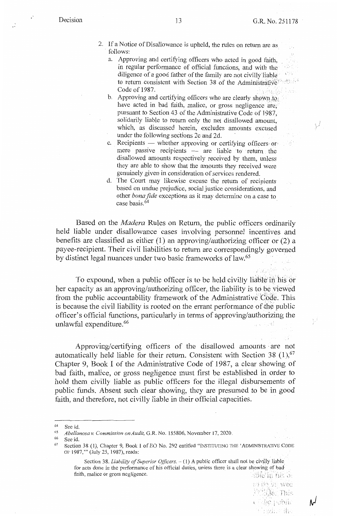- 2. If a Notice of Disallowance is upheld, the rules on return are as · follows:
	- a. Approving and certifying officers who acted in good faith, in regular perfomiance of official functions, and with the diligence of a good father of the family are not civilly'liable bin V to return consistent with Section 38 of the Administrative and the Code of 1987. hal.
	- b. Approving and certifying officers who are clearly shown to have acted in bad faith, malice, or gross negligence are; pursuant to Section 43 of the Administrative Code of 1987, solidarily liable to return only the net disallowed amount, which, as discussed herein, excludes amounts excused under the following sections 2c and 2d.
	- c. Recipients whether approving or certifying officers or mere passive recipients - are liable to return the disallowed amounts respectively received by them, unless they are able to show that the amounts they received were genuinely given in consideration of services rendered.
	- d. The Court may likewise excuse the return of recipients based on undue prejudice, social justice considerations, and other *bona fide* exceptions as it may determine on a case to case basis.<sup>64</sup>

Based on the *Madera* Rules on Return, the public officers ordinarily held liable under disallowance cases involving personnel incentives and benefits are classified as either (1) an approving/authorizing officer or (2) a payee-recipient. Their civil liabilities to return are correspondingly governed by distinct legal nuances under two basic frameworks of law. 65

To expound, when a public officer is to be held civilly liable in his or her capacity as an approving/authorizing officer, the liability is to be viewed from the public accountability framework of the Administrative Code. This is because the civil liability is rooted on the errant performance of the public officer's official functions, particularly in terms of approving/authorizing the unlawful expenditure.<sup>66</sup>

Approving/certifying officers of the disallowed amounts · are not automatically held liable for their return. Consistent with Section 38  $(1)$ ,  $^{67}$ Chapter 9, Book I of the Administrative Code of 1987, a clear showing of bad faith, malice, or gross negligence must first be established in order to hold them civilly liable as public officers for the illegal disbursements of public funds. Absent such clear showing, they are presumed to be in good faith, and therefore, not civilly liable in their official capacities.

66 See id.

19 De St. Wed **MAGE This** be poblic  $\ddot{\phantom{a}}$ 

rvl

<sup>64</sup> See id.

<sup>65</sup> *,4bellanosa v. Commission on Audit,* G.R. No. 185806, November 17, 2020.

 $67$  Section 38 (1), Chapter 9, Book I of EO No. 292 entitled "INSTITUTING THE 'ADMINISTRATIVE CODE OF 1987,"' (July 25, 1987), reads:

Section 38. *Liability of Superior Officers.*  $- (1)$  A public officer shall not be civilly liable for acts done in the perfonnance of his official duties, unless there is a clear showing of bad faith, malice or gross negligence.  $\mathcal{L}(\mathcal{C})$  is  $\mathcal{C}(\mathcal{C})$  ,  $\mathcal{C}(\mathcal{C})$  ,  $\mathcal{C}(\mathcal{C})$  ,  $\mathcal{C}(\mathcal{C})$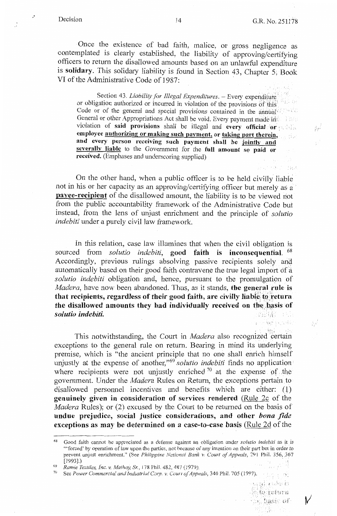$\ddot{\cdot}$ 

harrach Bad

Once the existence of bad faith, malice, or gross negligence as contemplated is clearly established, the liability of approving/certifying officers to return the disallowed amounts based on an unlawful expenditure is **solidary.** This solidary liability is found in Section 43, Chapter 5, Book VI of the Administrative Code of 1987:

Section 43. *Liability for Illegal Expenditures.* - Every expenditure or obligation authorized or incurred in violation of the provisions of this<sup>1</sup> Code or of the general and special provisions contained in the annual General or other Appropriations Act shall be void. Every payment made in violation of **said provisions** shall be illegal and **every official or** • **employee authorizing or making such payment, or taking part therein, and every person receiving such payment shall be jointly and severallv liable** to the Government for the **full amount so paid or received.** (Emphases and underscoring supplied)

On the other hand, when a public officer is to be held civilly liable not in his or her capacity as an approving/certifying officer but merely as a **payee-recipient** of the disallowed amount, the liability is to be viewed not from the public accountability framework of the Administrative Code but instead, from the lens of unjust enrichment and the principle of *solutio indebiti* under a purely civil law framework.

In this relation, case law illumines that when the civil obligation is sourced from *solutio indebiti,* **good faith is inconsequential.** <sup>68</sup> Accordingly, previous rulings absolving passive recipients solely and automatically based on their good faith contravene the true legal import of a *solutio indebiti* obligation and, hence, pursuant to the promulgation of *Madera,* have now been abandoned. Thus, as it stands, **the general rule is**  that recipients, regardless of their good faith, are civilly liable to return the disallowed amounts they had individually received on the basis of *solutio indebiti.* 编辑机 日本

This notwithstanding, the Court in *Madera* also recognized certain exceptions to the general rule on return. Bearing in mind its underlying premise, which is "the ancient principle that no one shall enrich himself unjustly at the expense of another,"<sup>69</sup>*solutio indebiti* finds no application· where recipients were not unjustly enriched  $70$  at the expense of the government. Under the *Madera* Rules on Return, the exceptions pertain to disallowed personnel incentives and benefits which are either: (1) **genuinely given in consideration of services rendered** (Rule 2c of the *Madera* Rules); or (2) excused by the Court to be returned on the basis of **undue prejudice, social \_justice considerations, and other** *bona fide*  **exceptions as may be determined on a case-to-case basis (Rule 2d of the** 

''/' .~ *i* 

사채

 $\mathbb{R} \cup \mathbb{R}$  and  $\mathbb{R} \cup \mathbb{R}$ the basis of

v

A.

Website and Paul

 $\bar{\Sigma}$ 

-----------

See Power Commercial and Industrial Corp. v. Court of Appeals, 340 Phil. 705 (1997).

<sup>68</sup> Good faith cannot be appreciated as a defense against an obligation under *solutio indebiti* as it is '"forced' by operation of law upon the parties, not because of any intention on their part but in order to prevent unjust enrichment." (See *Philippine National Bank v. Court of Appeals*, 291 Phil. 356, 367 [1993].) .

<sup>69</sup>*Ramie Textiles, Inc. v. Mathay, Sr.,* 178 Phil. 482,481 (1979).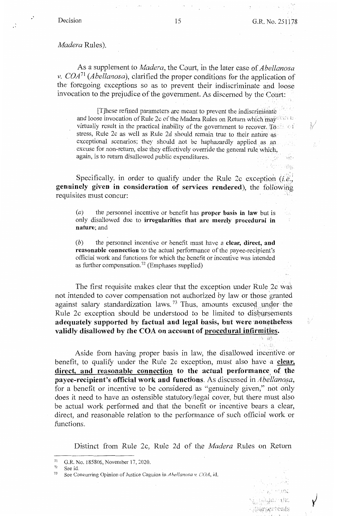ng.

### *Madera* Rules).

As a supplement to *Madera,* the Court, in the later case of *Abellanosa v. COA*<sup>71</sup> (*Abellanosa*), clarified the proper conditions for the application of the foregoing exceptions so as to prevent their indiscriminate and loose invocation to the prejudice of the government. As discerned by the Court:

[T]hese refined parameters are meant to prevent the indiscriminate and loose invocation of Rule 2c of the Madera Rules on Return which may all the virtually result in the practical inability of the government to recover. To stress, Rule 2c as well as Rule 2d should remain true to their nature as exceptional scenarios; they should not be haphazardly applied as an excuse for non-return, else they effectively override the general rule which, again, is to return disallowed public expenditures.

Specifically, in order to qualify under the Rule 2c exception  $(i.e.,$ **genuinely given in consideration of services rendered),** the following requisites must concur:

(a) the personnel incentive or benefit has **proper basis in law** but is only disallowed due to **irregularities that are merely procedural in nature;** and

(b) the personnel incentive or benefit must have a **clear, direct, and reasonable connection** to the actual performance of the payee-recipient's official work and functions for which the benefit or incentive was intended as further compensation.<sup>72</sup> (Emphases supplied)

The first requisite makes clear that the exception under Rule 2c was not intended to cover compensation not authorized by law or those granted against salary standardization laws.<sup>73</sup> Thus, amounts excused under the Rule 2c exception should be understood to be limited to disbursements adequately supported by factual and legal basis, but were nonetheless **validly disallowed by the COA on account of procedural infirmities.** 

Aside from having proper basis in law, the disallowed incentive or benefit, to qualify under the Rule 2c exception, must also have a **clear,**  direct, and reasonable connection to the actual performance of the **payee-recipient's official work and functions.** As discussed in *Abellanosa*, for a benefit or incentive to be considered as "genuinely given," not only does it need to have an ostensible statutory/legal cover, but there must also be actual work performed and that the benefit or incentive bears a clear, direct, and reasonable relation to the performance of such official work or functions.

Distinct from Rule 2c, Rule 2d of the *Madera* Rules on Return

11.'1·  $\cdots$  ,  $\ddots$ r  $:$   $\&$  arsements: i -

 $^{71}$  G.R. No. 185806, November 17, 2020.

 $72$  See id,<br> $73$  See Co.

<sup>73</sup> See Concurring Opinion of Justice Caguioa in *Ahellanosa v COA,* id.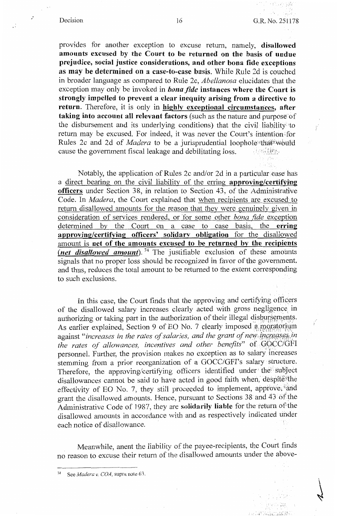provides for another exception to excuse return, namely, **disallowed amounts excused by the Court to be returned on the basis of undue prejudice, social justice considerations, and other bona fide exceptions as may be determined on a case-to-case basis.** While Rule 2d is couched in broader language as compared to Rule 2c, *Abellanosa* elucidates that the exception may only be invoked in *bona fide* **instances where the Court is strongly impelled to prevent a clear inequity arising from a directive to return.** Therefore, it is only in **highly exceptional circumstances, after taking into account all relevant factors** (such as the nature and purpose of the disbursement and its underlying conditions) that the civil liability 'to return may be excused. For indeed, it was never the Court's intention for Rules 2c and 2d of *Madera* to be a jurisprudential loophole that would cause the government fiscal leakage and debilitating loss. cause the government fiscal leakage and debilitating loss.

Notably, the application of Rules 2c and/or 2d in a particular case has a direct bearing on the civil liability of the erring **approving/certifying officers** under Section 38, in relation to Section 43, of the Administrative Code. In *Madera,* the Court explained that when recipients are excused to return disallowed amounts for the reason that they were genuinely given in consideration of services rendered, or for some other *bona fide* exception determined by the Court on a case to case basis, the **erring approving/certifying officers' solidary obligation** for the disallowed amount is **net of the amounts excused to be returned by the recipients**   $(\text{net} \text{disallowed} \text{amount})$ .<sup>74</sup> The justifiable exclusion of these amounts signals that no proper loss should be recognized in favor of the government, and thus, reduces the total amount to be returned to the extent corresponding to such exclusions.

In this case, the Court finds that the approving and certifying officers of the disallowed salary increases clearly acted with gross negligence in authorizing or taking part in the authorization of their illegal disbursements. As earlier explained, Section 9 of EO No. 7 clearly imposed a moratorium against "*increases in the rates of salaries, and the grant of new increases in the rates qf allowances, incentives and other benefits"* of <JQCC/GFI personnel. Further, the provision makes no exception as to salary increases stemming from a prior reorganization of a GOCC/GFI's salary · structure. Therefore, the approving/certifying officers identified under the subject disallowances cannot be said to have acted in good faith when, despite the effectivity of EO No. 7, they still proceeded to implement, approve; and grant the disallowed amounts. Hence, pursuant to Sections 38 and 43 of the Administrative Code of 198?, they are **solidarily liable** for the return ofithe disallowed amounts in accordance with and as respectively indicated under each notice of disallowance.

Meanwhile, anent the liability of the payee-recipients, the Court finds no reason to excuse their return of the disallowed amounts under the above-

 $\cdot$  i\_a\_2. t\_  $\cdot$   $\cdot$ 

<sup>&</sup>lt;sup>74</sup> See *Madera v. COA*, supra note 63.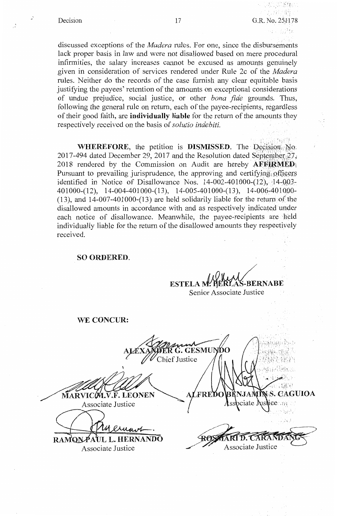$\mathcal{L}$ 

1.月20歳後に Decision 17 G.R. No. 251178

可以 石綿石

 $\mathbb{Z}$ . fight

discussed exceptions of the *Madera* rules. For one, since the disbursements lack proper basis in law and were not disallowed based on mere procedural infirmities, the salary increases cannot be excused as amounts genuinely given in consideration of services rendered under Rule 2c of the *Madera*  rules. Neither do the records of the case furnish any clear equitable basis justifying the payees' retention of the amounts on exceptional considerations of undue prejudice, social justice, or other *bona fide* grounds. Thus, following the general rule on return, each of the payee-recipients, regardless of their good faith, are **individually liable** for the return of the amounts they respectively received on the basis of *solutio indebiti.* 

**WHEREFORE,** the petition is **DISMISSED**. The Decision No. 2017-494 dated December 29, 2017 and the Resolution dated September  $27$ , 2018 rendered by the Commission on Audit are hereby **AFFIRMED** Pursuant to prevailing jurisprudence, the approving and certifying officers identified in Notice of Disallowance Nos.  $14-002-401000-(12)$ ,  $14-003-$ 401000-(12), 14-004-401000-(13), 14-005-401000-(13), 14-006-401000-(13 ), and 14-007-401000-( 13) are held solidarily liable for the return *of* the disallowed amounts in accordance with and as respectively indicated under each notice of disallowance. Meanwhile, the payee-recipients are ·held individually liable for the return of the disallowed amounts they respectively received.

### **SO ORDERED.**

ESTELA **M' BERLAS-BERNABE** Senior Associate Justice

**WE CONCUR:** 

G. GESMUNDO Chief Justice / 经编码 IN S. CAGUIOA FREDO  $\overline{\text{MAPVICM.V.F. LEONEN}}$ ciate ∫ isdice . ov Associate Justice *)*  $\mathbf{RAMON}$   $\mathbf{AUL}$  **L. HERNANDO** Associate Justice Associate Justice